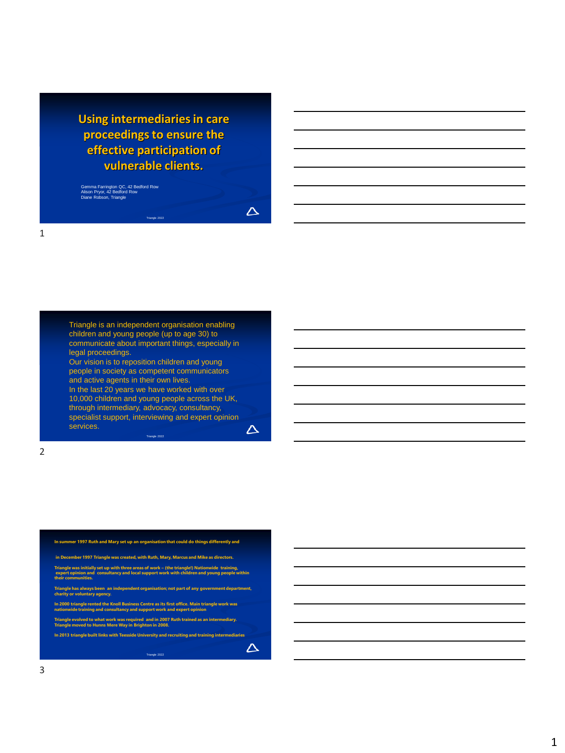**Using intermediaries in care proceedings to ensure the effective participation of vulnerable clients.**

Gemma Farrington QC, 42 Bedford Row Alison Pryor, 42 Bedford Row Diane Robson, Triangle

 $\Delta$ 

 $\Delta$ 

 $\Delta$ 

Triangle is an independent organisation enabling children and young people (up to age 30) to communicate about important things, especially in legal proceedings. Our vision is to reposition children and young people in society as competent communicators and active agents in their own lives. In the last 20 years we have worked with over 10,000 children and young people across the UK, through intermediary, advocacy, consultancy, specialist support, interviewing and expert opinion services.

Triangle 2022

2

**In summer 1997 Ruth and Mary set up an organisation that could do things differently and in December 1997 Triangle was created, with Ruth, Mary, Marcus and Mike as directors. Triangle was initially set up with three areas of work – (the triangle!) Nationwide training, expert opinion and consultancy and local support work with children and young people within their communities. Triangle has always been an independent organisation; not part of any government department, charity or voluntary agency. In 2000 triangle rented the Knoll Business Centre as its first office. Main triangle work was nationwide training and consultancy and support work and expert opinion Triangle evolved to what work was required and in 2007 Ruth trained as an intermediary. Triangle moved to Hunns Mere Way in Brighton in 2008.**

**In 2013 triangle built links with Teesside University and recruiting and training intermediaries**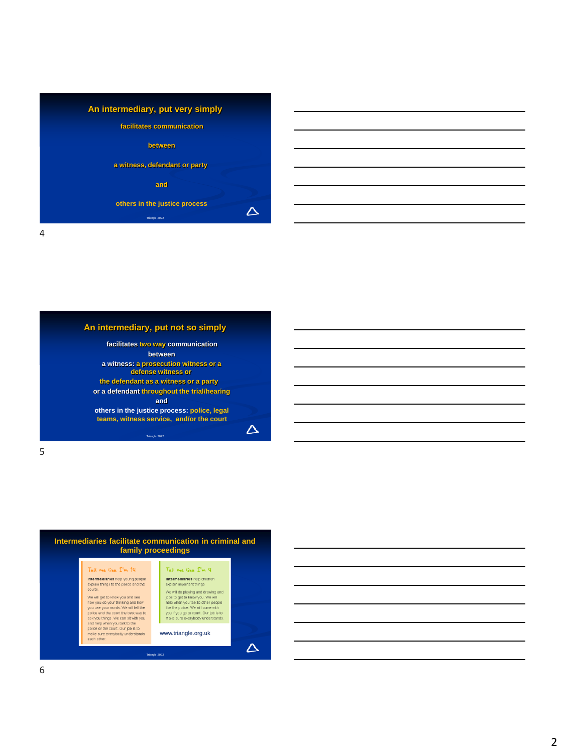

5

#### **An intermediary, put not so simply**

**facilitates two way communication between a witness: a prosecution witness or a defense witness or the defendant as a witness or a party or a defendant throughout the trial/hearing and others in the justice process: police, legal teams, witness service, and/or the court** Triangle 2022

 $\Delta$ 

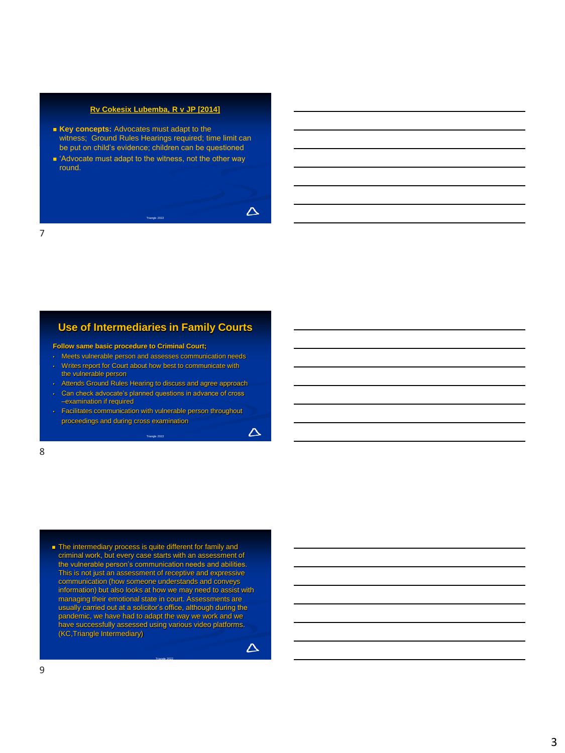#### **Rv Cokesix [Lubemba, R v JP \[2014\]](http://www.bailii.org/ew/cases/EWCA/Crim/2014/2064.html)**

- Key concepts: Advocates must adapt to the witness; Ground Rules Hearings required; time limit can be put on child's evidence; children can be questioned
- 'Advocate must adapt to the witness, not the other way round.

Triangle 2022

7

### **Use of Intermediaries in Family Courts**

- **Follow same basic procedure to Criminal Court;**
- Meets vulnerable person and assesses communication needs
- Writes report for Court about how best to communicate with the vulnerable person
- Attends Ground Rules Hearing to discuss and agree approach
- Can check advocate's planned questions in advance of cross –examination if required
- Facilitates communication with vulnerable person throughout proceedings and during cross examination

Triangle 2022

 $\Delta$ 

 $\Delta$ 

 $\Delta$ 

8

■ The intermediary process is quite different for family and criminal work, but every case starts with an assessment of the vulnerable person's communication needs and abilities. This is not just an assessment of receptive and expressive communication (how someone understands and conveys information) but also looks at how we may need to assist with managing their emotional state in court. Assessments are usually carried out at a solicitor's office, although during the pandemic, we have had to adapt the way we work and we have successfully assessed using various video platforms. (KC,Triangle Intermediary)

Triangle 2022

9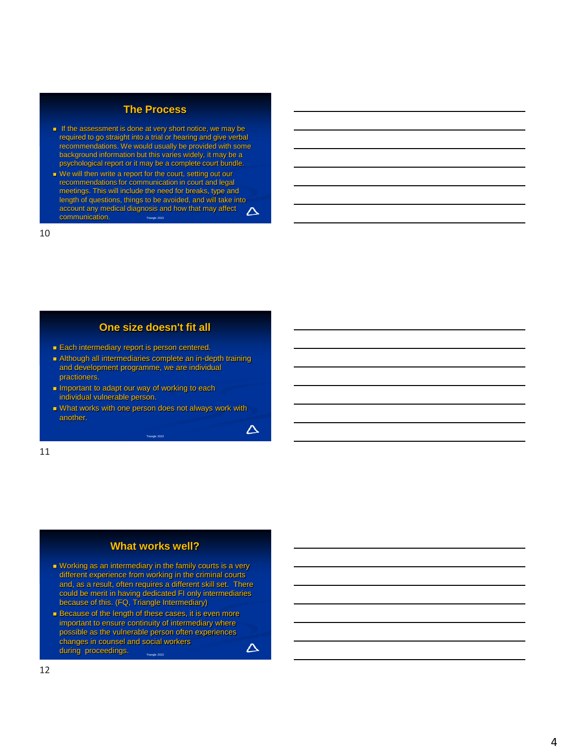## **The Process**

- If the assessment is done at very short notice, we may be required to go straight into a trial or hearing and give verbal recommendations. We would usually be provided with some background information but this varies widely, it may be a psychological report or it may be a complete court bundle.
- We will then write a report for the court, setting out our recommendations for communication in court and legal meetings. This will include the need for breaks, type and length of questions, things to be avoided, and will take into account any medical diagnosis and how that may affect  $\Delta$ communication. Triangle 2022

10

### **One size doesn't fit all**

- Each intermediary report is person centered.
- Although all intermediaries complete an in-depth training and development programme, we are individual practioners.
- Important to adapt our way of working to each individual vulnerable person.
- What works with one person does not always work with another.

Triangle 20

 $\Delta$ 

11

### **What works well?**

- Working as an intermediary in the family courts is a very different experience from working in the criminal courts and, as a result, often requires a different skill set. There could be merit in having dedicated FI only intermediaries because of this. (FQ, Triangle Intermediary)
- Because of the length of these cases, it is even more important to ensure continuity of intermediary where possible as the vulnerable person often experiences changes in counsel and social workers  $\Delta$ during proceedings. Triangle 2022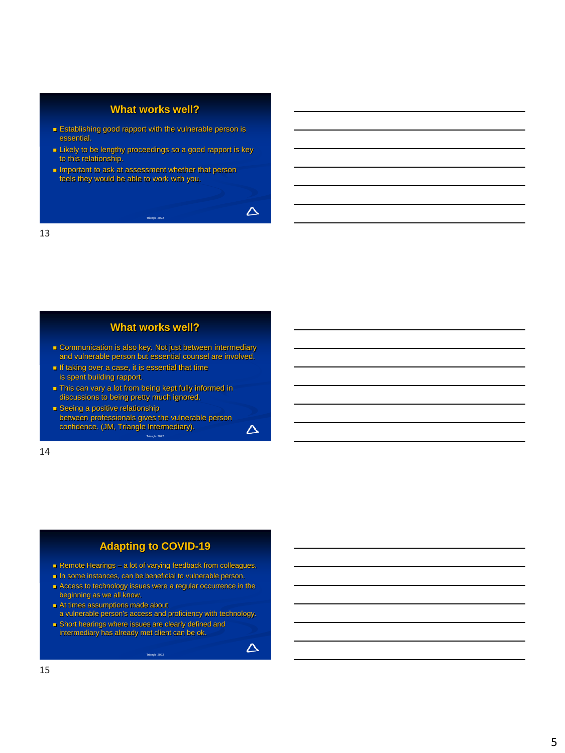# **What works well?**

- Establishing good rapport with the vulnerable person is essential.
- Likely to be lengthy proceedings so a good rapport is key to this relationship.

Triangle 2022

 $\Delta$ 

 $\Delta$ 

 $\Delta$ 

■ Important to ask at assessment whether that person feels they would be able to work with you.

13

#### **What works well?**

- Communication is also key. Not just between intermediary and vulnerable person but essential counsel are involved.
- If taking over a case, it is essential that time is spent building rapport.
- This can vary a lot from being kept fully informed in discussions to being pretty much ignored.
- Seeing a positive relationship between professionals gives the vulnerable person confidence. (JM, Triangle Intermediary).

Triangle 2022

14

# **Adapting to COVID-19**

- Remote Hearings a lot of varying feedback from colleagues.
- In some instances, can be beneficial to vulnerable person.
- Access to technology issues were a regular occurrence in the beginning as we all know.
- At times assumptions made about a vulnerable person's access and proficiency with technology.
- Short hearings where issues are clearly defined and intermediary has already met client can be ok.

Triangle 2022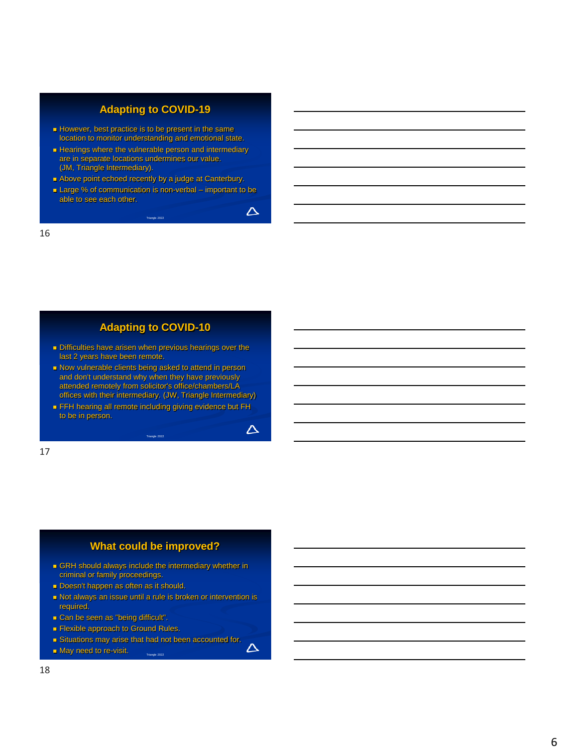# **Adapting to COVID-19**

- However, best practice is to be present in the same location to monitor understanding and emotional state.
- **Example 2** Hearings where the vulnerable person and intermediary are in separate locations undermines our value. (JM, Triangle Intermediary).
- Above point echoed recently by a judge at Canterbury.
- Large % of communication is non-verbal important to be able to see each other.

Triangle 2022

 $\Delta$ 

 $\Delta$ 

 $\Delta$ 

16

### **Adapting to COVID-10**

- Difficulties have arisen when previous hearings over the last 2 years have been remote.
- Now vulnerable clients being asked to attend in person and don't understand why when they have previously attended remotely from solicitor's office/chambers/LA offices with their intermediary. (JW, Triangle Intermediary)
- FFH hearing all remote including giving evidence but FH to be in person.

Triangle 2022

17

# **What could be improved?**

- GRH should always include the intermediary whether in criminal or family proceedings.
- Doesn't happen as often as it should.
- Not always an issue until a rule is broken or intervention is required.
- Can be seen as "being difficult".
- Flexible approach to Ground Rules.
- Situations may arise that had not been accounted for.

Triangle 2022

■ May need to re-visit.